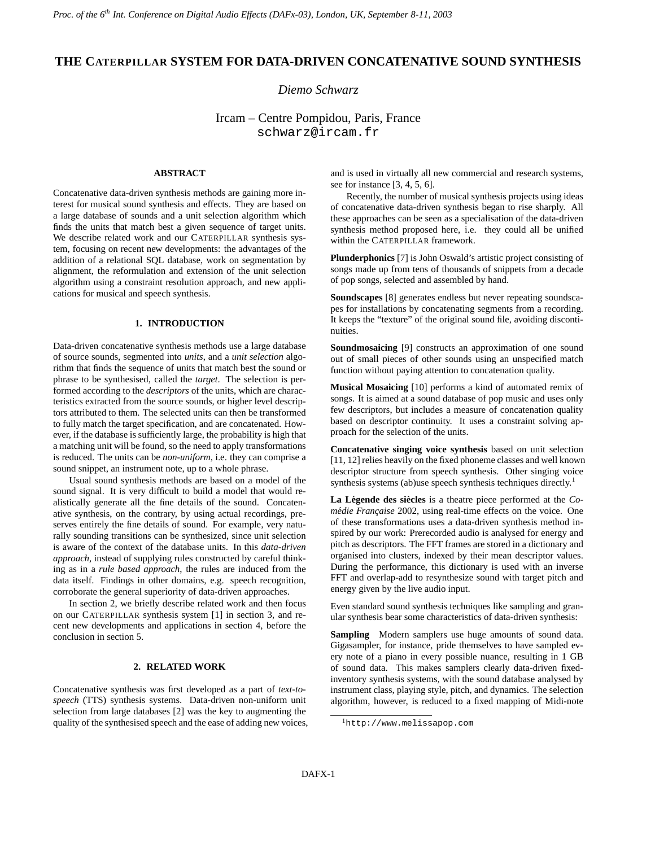# **THE CATERPILLAR SYSTEM FOR DATA-DRIVEN CONCATENATIVE SOUND SYNTHESIS**

# *Diemo Schwarz*

Ircam – Centre Pompidou, Paris, France schwarz@ircam.fr

# **ABSTRACT**

Concatenative data-driven synthesis methods are gaining more interest for musical sound synthesis and effects. They are based on a large database of sounds and a unit selection algorithm which finds the units that match best a given sequence of target units. We describe related work and our CATERPILLAR synthesis system, focusing on recent new developments: the advantages of the addition of a relational SQL database, work on segmentation by alignment, the reformulation and extension of the unit selection algorithm using a constraint resolution approach, and new applications for musical and speech synthesis.

## **1. INTRODUCTION**

Data-driven concatenative synthesis methods use a large database of source sounds, segmented into *units*, and a *unit selection* algorithm that finds the sequence of units that match best the sound or phrase to be synthesised, called the *target*. The selection is performed according to the *descriptors* of the units, which are characteristics extracted from the source sounds, or higher level descriptors attributed to them. The selected units can then be transformed to fully match the target specification, and are concatenated. However, if the database is sufficiently large, the probability is high that a matching unit will be found, so the need to apply transformations is reduced. The units can be *non-uniform*, i.e. they can comprise a sound snippet, an instrument note, up to a whole phrase.

Usual sound synthesis methods are based on a model of the sound signal. It is very difficult to build a model that would realistically generate all the fine details of the sound. Concatenative synthesis, on the contrary, by using actual recordings, preserves entirely the fine details of sound. For example, very naturally sounding transitions can be synthesized, since unit selection is aware of the context of the database units. In this *data-driven approach*, instead of supplying rules constructed by careful thinking as in a *rule based approach*, the rules are induced from the data itself. Findings in other domains, e.g. speech recognition, corroborate the general superiority of data-driven approaches.

In section 2, we briefly describe related work and then focus on our CATERPILLAR synthesis system [1] in section 3, and recent new developments and applications in section 4, before the conclusion in section 5.

#### **2. RELATED WORK**

Concatenative synthesis was first developed as a part of *text-tospeech* (TTS) synthesis systems. Data-driven non-uniform unit selection from large databases [2] was the key to augmenting the quality of the synthesised speech and the ease of adding new voices, and is used in virtually all new commercial and research systems, see for instance [3, 4, 5, 6].

Recently, the number of musical synthesis projects using ideas of concatenative data-driven synthesis began to rise sharply. All these approaches can be seen as a specialisation of the data-driven synthesis method proposed here, i.e. they could all be unified within the CATERPILLAR framework.

**Plunderphonics** [7] is John Oswald's artistic project consisting of songs made up from tens of thousands of snippets from a decade of pop songs, selected and assembled by hand.

**Soundscapes** [8] generates endless but never repeating soundscapes for installations by concatenating segments from a recording. It keeps the "texture" of the original sound file, avoiding discontinuities.

**Soundmosaicing** [9] constructs an approximation of one sound out of small pieces of other sounds using an unspecified match function without paying attention to concatenation quality.

**Musical Mosaicing** [10] performs a kind of automated remix of songs. It is aimed at a sound database of pop music and uses only few descriptors, but includes a measure of concatenation quality based on descriptor continuity. It uses a constraint solving approach for the selection of the units.

**Concatenative singing voice synthesis** based on unit selection [11, 12] relies heavily on the fixed phoneme classes and well known descriptor structure from speech synthesis. Other singing voice synthesis systems (ab)use speech synthesis techniques directly.<sup>1</sup>

La Légende des siècles is a theatre piece performed at the *Comédie Française* 2002, using real-time effects on the voice. One of these transformations uses a data-driven synthesis method inspired by our work: Prerecorded audio is analysed for energy and pitch as descriptors. The FFT frames are stored in a dictionary and organised into clusters, indexed by their mean descriptor values. During the performance, this dictionary is used with an inverse FFT and overlap-add to resynthesize sound with target pitch and energy given by the live audio input.

Even standard sound synthesis techniques like sampling and granular synthesis bear some characteristics of data-driven synthesis:

**Sampling** Modern samplers use huge amounts of sound data. Gigasampler, for instance, pride themselves to have sampled every note of a piano in every possible nuance, resulting in 1 GB of sound data. This makes samplers clearly data-driven fixedinventory synthesis systems, with the sound database analysed by instrument class, playing style, pitch, and dynamics. The selection algorithm, however, is reduced to a fixed mapping of Midi-note

<sup>1</sup>http://www.melissapop.com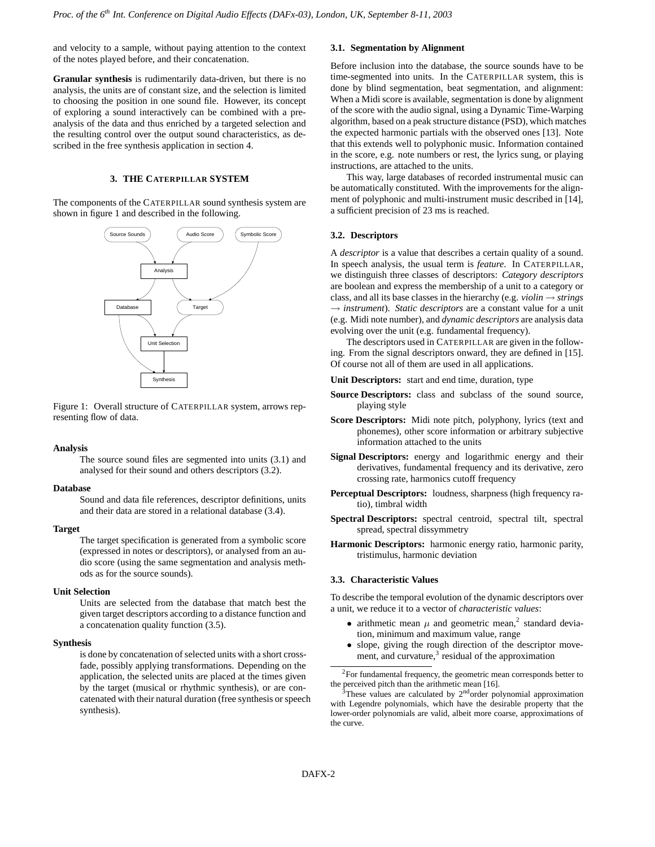and velocity to a sample, without paying attention to the context of the notes played before, and their concatenation.

**Granular synthesis** is rudimentarily data-driven, but there is no analysis, the units are of constant size, and the selection is limited to choosing the position in one sound file. However, its concept of exploring a sound interactively can be combined with a preanalysis of the data and thus enriched by a targeted selection and the resulting control over the output sound characteristics, as described in the free synthesis application in section 4.

### **3. THE CATERPILLAR SYSTEM**

The components of the CATERPILLAR sound synthesis system are shown in figure 1 and described in the following.



Figure 1: Overall structure of CATERPILLAR system, arrows representing flow of data.

#### **Analysis**

The source sound files are segmented into units (3.1) and analysed for their sound and others descriptors (3.2).

#### **Database**

Sound and data file references, descriptor definitions, units and their data are stored in a relational database (3.4).

#### **Target**

The target specification is generated from a symbolic score (expressed in notes or descriptors), or analysed from an audio score (using the same segmentation and analysis methods as for the source sounds).

### **Unit Selection**

Units are selected from the database that match best the given target descriptors according to a distance function and a concatenation quality function (3.5).

#### **Synthesis**

is done by concatenation of selected units with a short crossfade, possibly applying transformations. Depending on the application, the selected units are placed at the times given by the target (musical or rhythmic synthesis), or are concatenated with their natural duration (free synthesis orspeech synthesis).

### **3.1. Segmentation by Alignment**

Before inclusion into the database, the source sounds have to be time-segmented into units. In the CATERPILLAR system, this is done by blind segmentation, beat segmentation, and alignment: When a Midi score is available, segmentation is done by alignment of the score with the audio signal, using a Dynamic Time-Warping algorithm, based on a peak structure distance (PSD), which matches the expected harmonic partials with the observed ones [13]. Note that this extends well to polyphonic music. Information contained in the score, e.g. note numbers or rest, the lyrics sung, or playing instructions, are attached to the units.

This way, large databases of recorded instrumental music can be automatically constituted. With the improvements for the alignment of polyphonic and multi-instrument music described in [14], a sufficient precision of 23 ms is reached.

#### **3.2. Descriptors**

A *descriptor* is a value that describes a certain quality of a sound. In speech analysis, the usual term is *feature*. In CATERPILLAR, we distinguish three classes of descriptors: *Category descriptors* are boolean and express the membership of a unit to a category or class, and all its base classes in the hierarchy (e.g. *violin* → *strings* → *instrument*). *Static descriptors* are a constant value for a unit (e.g. Midi note number), and *dynamic descriptors* are analysis data evolving over the unit (e.g. fundamental frequency).

The descriptors used in CATERPILLAR are given in the following. From the signal descriptors onward, they are defined in [15]. Of course not all of them are used in all applications.

- **Unit Descriptors:** start and end time, duration, type
- **Source Descriptors:** class and subclass of the sound source, playing style
- **Score Descriptors:** Midi note pitch, polyphony, lyrics (text and phonemes), other score information or arbitrary subjective information attached to the units
- **Signal Descriptors:** energy and logarithmic energy and their derivatives, fundamental frequency and its derivative, zero crossing rate, harmonics cutoff frequency
- **Perceptual Descriptors:** loudness, sharpness (high frequency ratio), timbral width
- **Spectral Descriptors:** spectral centroid, spectral tilt, spectral spread, spectral dissymmetry
- **Harmonic Descriptors:** harmonic energy ratio, harmonic parity, tristimulus, harmonic deviation

#### **3.3. Characteristic Values**

To describe the temporal evolution of the dynamic descriptors over a unit, we reduce it to a vector of *characteristic values*:

- arithmetic mean  $\mu$  and geometric mean,<sup>2</sup> standard deviation, minimum and maximum value, range
- slope, giving the rough direction of the descriptor movement, and curvature, $3$  residual of the approximation

<sup>2</sup>For fundamental frequency, the geometric mean corresponds better to the perceived pitch than the arithmetic mean [16].

 $3$ These values are calculated by  $2<sup>nd</sup>$ order polynomial approximation with Legendre polynomials, which have the desirable property that the lower-order polynomials are valid, albeit more coarse, approximations of the curve.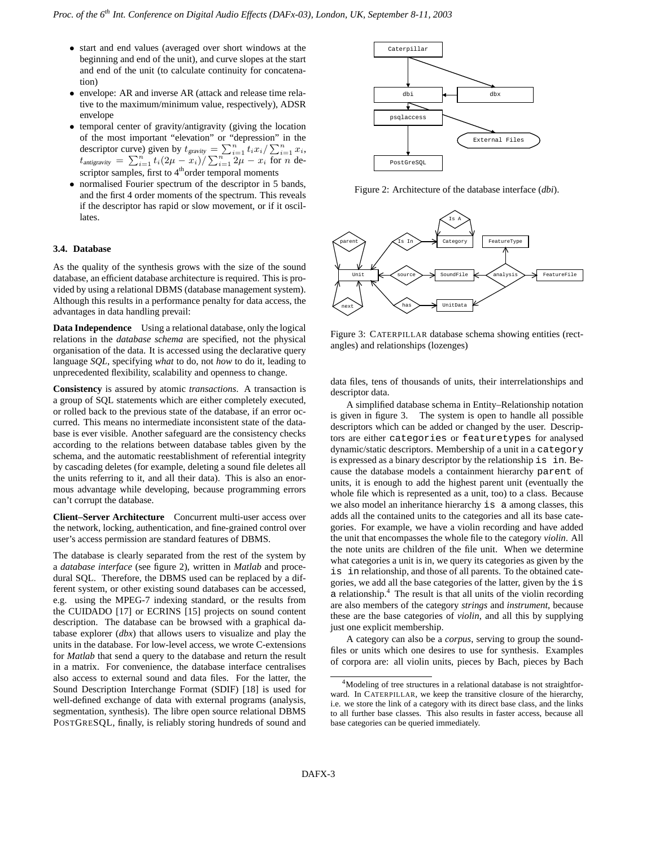- start and end values (averaged over short windows at the beginning and end of the unit), and curve slopes at the start and end of the unit (to calculate continuity for concatenation)
- envelope: AR and inverse AR (attack and release time relative to the maximum/minimum value, respectively), ADSR envelope
- temporal center of gravity/antigravity (giving the location of the most important "elevation" or "depression" in the descriptor curve) given by  $t_{gravity} = \sum_{i=1}^{n} t_i x_i / \sum_{i=1}^{n} x_i$ ,  $t_{\text{antirativity}} = \sum_{i=1}^{n} t_i (2\mu - x_i) / \sum_{i=1}^{n} \overline{2\mu} - x_i \overline{\text{ for } n} \text{ de-}$ scriptor samples, first to 4<sup>th</sup>order temporal moments
- normalised Fourier spectrum of the descriptor in 5 bands, and the first 4 order moments of the spectrum. This reveals if the descriptor has rapid or slow movement, or if it oscillates.

#### **3.4. Database**

As the quality of the synthesis grows with the size of the sound database, an efficient database architecture is required. This is provided by using a relational DBMS (database management system). Although this results in a performance penalty for data access, the advantages in data handling prevail:

**Data Independence** Using a relational database, only the logical relations in the *database schema* are specified, not the physical organisation of the data. It is accessed using the declarative query language *SQL*, specifying *what* to do, not *how* to do it, leading to unprecedented flexibility, scalability and openness to change.

**Consistency** is assured by atomic *transactions*. A transaction is a group of SQL statements which are either completely executed, or rolled back to the previous state of the database, if an error occurred. This means no intermediate inconsistent state of the database is ever visible. Another safeguard are the consistency checks according to the relations between database tables given by the schema, and the automatic reestablishment of referential integrity by cascading deletes (for example, deleting a sound file deletes all the units referring to it, and all their data). This is also an enormous advantage while developing, because programming errors can't corrupt the database.

**Client–Server Architecture** Concurrent multi-user access over the network, locking, authentication, and fine-grained control over user's access permission are standard features of DBMS.

The database is clearly separated from the rest of the system by a *database interface* (see figure 2), written in *Matlab* and procedural SQL. Therefore, the DBMS used can be replaced by a different system, or other existing sound databases can be accessed, e.g. using the MPEG-7 indexing standard, or the results from the CUIDADO [17] or ECRINS [15] projects on sound content description. The database can be browsed with a graphical database explorer (*dbx*) that allows users to visualize and play the units in the database. For low-level access, we wrote C-extensions for *Matlab* that send a query to the database and return the result in a matrix. For convenience, the database interface centralises also access to external sound and data files. For the latter, the Sound Description Interchange Format (SDIF) [18] is used for well-defined exchange of data with external programs (analysis, segmentation, synthesis). The libre open source relational DBMS POSTGRESQL, finally, is reliably storing hundreds of sound and



Figure 2: Architecture of the database interface (*dbi*).



Figure 3: CATERPILLAR database schema showing entities (rectangles) and relationships (lozenges)

data files, tens of thousands of units, their interrelationships and descriptor data.

A simplified database schema in Entity–Relationship notation is given in figure 3. The system is open to handle all possible descriptors which can be added or changed by the user. Descriptors are either categories or featuretypes for analysed dynamic/static descriptors. Membership of a unit in a category is expressed as a binary descriptor by the relationship is in. Because the database models a containment hierarchy parent of units, it is enough to add the highest parent unit (eventually the whole file which is represented as a unit, too) to a class. Because we also model an inheritance hierarchy is a among classes, this adds all the contained units to the categories and all its base categories. For example, we have a violin recording and have added the unit that encompasses the whole file to the category *violin*. All the note units are children of the file unit. When we determine what categories a unit is in, we query its categories as given by the is in relationship, and those of all parents. To the obtained categories, we add all the base categories of the latter, given by the is a relationship. $4$  The result is that all units of the violin recording are also members of the category *strings* and *instrument*, because these are the base categories of *violin*, and all this by supplying just one explicit membership.

A category can also be a *corpus*, serving to group the soundfiles or units which one desires to use for synthesis. Examples of corpora are: all violin units, pieces by Bach, pieces by Bach

<sup>&</sup>lt;sup>4</sup>Modeling of tree structures in a relational database is not straightforward. In CATERPILLAR, we keep the transitive closure of the hierarchy, i.e. we store the link of a category with its direct base class, and the links to all further base classes. This also results in faster access, because all base categories can be queried immediately.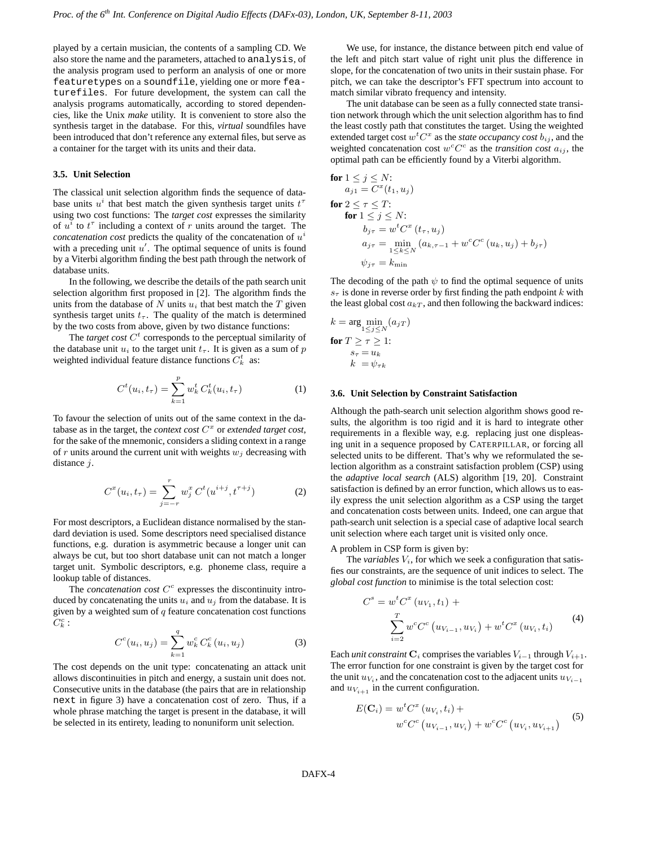played by a certain musician, the contents of a sampling CD. We also store the name and the parameters, attached to analysis, of the analysis program used to perform an analysis of one or more featuretypes on a soundfile, yielding one or more featurefiles. For future development, the system can call the analysis programs automatically, according to stored dependencies, like the Unix *make* utility. It is convenient to store also the synthesis target in the database. For this, *virtual* soundfiles have been introduced that don't reference any external files, but serve as a container for the target with its units and their data.

## **3.5. Unit Selection**

The classical unit selection algorithm finds the sequence of database units  $u^i$  that best match the given synthesis target units  $t^{\tau}$ using two cost functions: The *target cost* expresses the similarity of  $u^{\bar{i}}$  to  $t^{\tau}$  including a context of r units around the target. The  $concatenation cost predicts the quality of the concatenation of  $u^i$$ with a preceding unit  $u'$ . The optimal sequence of units is found by a Viterbi algorithm finding the best path through the network of database units.

In the following, we describe the details of the path search unit selection algorithm first proposed in [2]. The algorithm finds the units from the database of  $N$  units  $u_i$  that best match the  $T$  given synthesis target units  $t_{\tau}$ . The quality of the match is determined by the two costs from above, given by two distance functions:

The *target cost*  $C<sup>t</sup>$  corresponds to the perceptual similarity of the database unit  $u_i$  to the target unit  $t_{\tau}$ . It is given as a sum of p weighted individual feature distance functions  $C_k^t$  as:

$$
C^{t}(u_{i},t_{\tau}) = \sum_{k=1}^{p} w_{k}^{t} C_{k}^{t}(u_{i},t_{\tau})
$$
 (1)

To favour the selection of units out of the same context in the database as in the target, the *context cost*  $C<sup>x</sup>$  or *extended target cost*, for the sake of the mnemonic, considers a sliding context in a range of  $r$  units around the current unit with weights  $w_j$  decreasing with distance *i*.

$$
C^{x}(u_i, t_{\tau}) = \sum_{j=-r}^{r} w_j^{x} C^{t}(u^{i+j}, t^{\tau+j})
$$
 (2)

For most descriptors, a Euclidean distance normalised by the standard deviation is used. Some descriptors need specialised distance functions, e.g. duration is asymmetric because a longer unit can always be cut, but too short database unit can not match a longer target unit. Symbolic descriptors, e.g. phoneme class, require a lookup table of distances.

The *concatenation*  $cost C<sup>c</sup>$  expresses the discontinuity introduced by concatenating the units  $u_i$  and  $u_j$  from the database. It is given by a weighted sum of  $q$  feature concatenation cost functions  $C_k^c$  :

$$
C^{c}(u_i, u_j) = \sum_{k=1}^{q} w_k^{c} C_k^{c}(u_i, u_j)
$$
 (3)

The cost depends on the unit type: concatenating an attack unit allows discontinuities in pitch and energy, a sustain unit does not. Consecutive units in the database (the pairs that are in relationship next in figure 3) have a concatenation cost of zero. Thus, if a whole phrase matching the target is present in the database, it will be selected in its entirety, leading to nonuniform unit selection.

We use, for instance, the distance between pitch end value of the left and pitch start value of right unit plus the difference in slope, for the concatenation of two units in their sustain phase. For pitch, we can take the descriptor's FFT spectrum into account to match similar vibrato frequency and intensity.

The unit database can be seen as a fully connected state transition network through which the unit selection algorithm has to find the least costly path that constitutes the target. Using the weighted extended target cost  $w^t C^x$  as the *state occupancy cost*  $b_{ij}$ , and the weighted concatenation cost  $w^c C^c$  as the *transition cost*  $a_{ij}$ , the optimal path can be efficiently found by a Viterbi algorithm.

$$
\begin{aligned}\n\text{for } 1 \leq j \leq N: \\
a_{j1} &= C^x(t_1, u_j) \\
\text{for } 2 \leq \tau \leq T: \\
&\text{for } 1 \leq j \leq N: \\
b_{j\tau} &= w^t C^x \left( t_\tau, u_j \right) \\
a_{j\tau} &= \min_{1 \leq k \leq N} \left( a_{k,\tau-1} + w^c C^c \left( u_k, u_j \right) + b_{j\tau} \right) \\
\psi_{j\tau} &= k_{\min}\n\end{aligned}
$$

The decoding of the path  $\psi$  to find the optimal sequence of units  $s<sub>\tau</sub>$  is done in reverse order by first finding the path endpoint k with the least global cost  $a_{kT}$ , and then following the backward indices:

$$
k = \arg\min_{1 \le j \le N} (a_{jT})
$$
  
for  $T \ge \tau \ge 1$ :  

$$
s_{\tau} = u_{k}
$$

$$
k = \psi_{\tau k}
$$

#### **3.6. Unit Selection by Constraint Satisfaction**

Although the path-search unit selection algorithm shows good results, the algorithm is too rigid and it is hard to integrate other requirements in a flexible way, e.g. replacing just one displeasing unit in a sequence proposed by CATERPILLAR, or forcing all selected units to be different. That's why we reformulated the selection algorithm as a constraint satisfaction problem (CSP) using the *adaptive local search* (ALS) algorithm [19, 20]. Constraint satisfaction is defined by an error function, which allows us to easily express the unit selection algorithm as a CSP using the target and concatenation costs between units. Indeed, one can argue that path-search unit selection is a special case of adaptive local search unit selection where each target unit is visited only once.

A problem in CSP form is given by:

The *variables*  $V_i$ , for which we seek a configuration that satisfies our constraints, are the sequence of unit indices to select. The *global cost function* to minimise is the total selection cost:

$$
C^{s} = w^{t} C^{x} (u_{V_{1}}, t_{1}) + \sum_{i=2}^{T} w^{c} C^{c} (u_{V_{i-1}}, u_{V_{i}}) + w^{t} C^{x} (u_{V_{i}}, t_{i})
$$
(4)

Each *unit constraint*  $C_i$  comprises the variables  $V_{i-1}$  through  $V_{i+1}$ . The error function for one constraint is given by the target cost for the unit  $u_{V_i}$ , and the concatenation cost to the adjacent units  $u_{V_{i-1}}$ and  $u_{V_{i+1}}$  in the current configuration.

$$
E(\mathbf{C}_{i}) = w^{t} C^{x} (u_{V_{i}}, t_{i}) + w^{c} C^{c} (u_{V_{i-1}}, u_{V_{i}}) + w^{c} C^{c} (u_{V_{i}}, u_{V_{i+1}})
$$
 (5)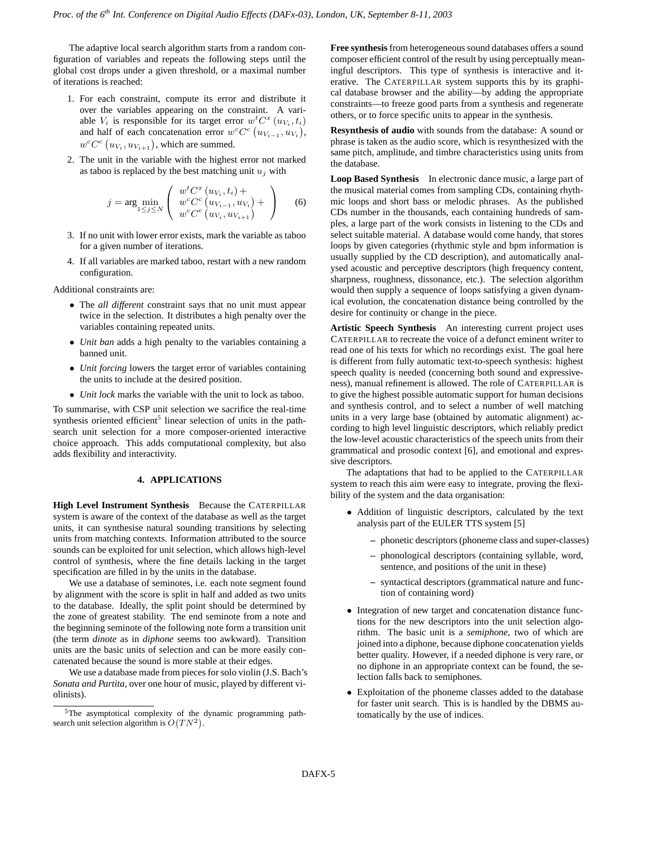The adaptive local search algorithm starts from a random configuration of variables and repeats the following steps until the global cost drops under a given threshold, or a maximal number of iterations is reached:

- 1. For each constraint, compute its error and distribute it over the variables appearing on the constraint. A variable  $V_i$  is responsible for its target error  $w^t C^x(u_{V_i}, t_i)$ and half of each concatenation error  $w^c C^c (u_{V_{i-1}}, u_{V_i}),$  $w^c C^c (u_{V_i}, u_{V_{i+1}})$ , which are summed.
- 2. The unit in the variable with the highest error not marked as taboo is replaced by the best matching unit  $u_j$  with

$$
j = \arg\min_{1 \le j \le N} \left( \begin{array}{c} w^t C^x \left( u_{V_i}, t_i \right) + \\ w^c C^c \left( u_{V_{i-1}}, u_{V_i} \right) + \\ w^c C^c \left( u_{V_i}, u_{V_{i+1}} \right) \end{array} \right) \tag{6}
$$

- 3. If no unit with lower error exists, mark the variable as taboo for a given number of iterations.
- 4. If all variables are marked taboo, restart with a new random configuration.

Additional constraints are:

- The *all different* constraint says that no unit must appear twice in the selection. It distributes a high penalty over the variables containing repeated units.
- *Unit ban* adds a high penalty to the variables containing a banned unit.
- *Unit forcing* lowers the target error of variables containing the units to include at the desired position.
- *Unit lock* marks the variable with the unit to lock as taboo.

To summarise, with CSP unit selection we sacrifice the real-time synthesis oriented efficient<sup>5</sup> linear selection of units in the pathsearch unit selection for a more composer-oriented interactive choice approach. This adds computational complexity, but also adds flexibility and interactivity.

# **4. APPLICATIONS**

**High Level Instrument Synthesis** Because the CATERPILLAR system is aware of the context of the database as well as the target units, it can synthesise natural sounding transitions by selecting units from matching contexts. Information attributed to the source sounds can be exploited for unit selection, which allows high-level control of synthesis, where the fine details lacking in the target specification are filled in by the units in the database.

We use a database of seminotes, i.e. each note segment found by alignment with the score is split in half and added as two units to the database. Ideally, the split point should be determined by the zone of greatest stability. The end seminote from a note and the beginning seminote of the following note form a transition unit (the term *dinote* as in *diphone* seems too awkward). Transition units are the basic units of selection and can be more easily concatenated because the sound is more stable at their edges.

We use a database made from pieces for solo violin (J.S. Bach's *Sonata and Partita*, over one hour of music, played by different violinists).

**Free synthesis**from heterogeneous sound databases offers a sound composer efficient control of the result by using perceptually meaningful descriptors. This type of synthesis is interactive and iterative. The CATERPILLAR system supports this by its graphical database browser and the ability—by adding the appropriate constraints—to freeze good parts from a synthesis and regenerate others, or to force specific units to appear in the synthesis.

**Resynthesis of audio** with sounds from the database: A sound or phrase is taken as the audio score, which is resynthesized with the same pitch, amplitude, and timbre characteristics using units from the database.

**Loop Based Synthesis** In electronic dance music, a large part of the musical material comes from sampling CDs, containing rhythmic loops and short bass or melodic phrases. As the published CDs number in the thousands, each containing hundreds of samples, a large part of the work consists in listening to the CDs and select suitable material. A database would come handy, that stores loops by given categories (rhythmic style and bpm information is usually supplied by the CD description), and automatically analysed acoustic and perceptive descriptors (high frequency content, sharpness, roughness, dissonance, etc.). The selection algorithm would then supply a sequence of loops satisfying a given dynamical evolution, the concatenation distance being controlled by the desire for continuity or change in the piece.

**Artistic Speech Synthesis** An interesting current project uses CATERPILLAR to recreate the voice of a defunct eminent writer to read one of his texts for which no recordings exist. The goal here is different from fully automatic text-to-speech synthesis: highest speech quality is needed (concerning both sound and expressiveness), manual refinement is allowed. The role of CATERPILLAR is to give the highest possible automatic support for human decisions and synthesis control, and to select a number of well matching units in a very large base (obtained by automatic alignment) according to high level linguistic descriptors, which reliably predict the low-level acoustic characteristics of the speech units from their grammatical and prosodic context [6], and emotional and expressive descriptors.

The adaptations that had to be applied to the CATERPILLAR system to reach this aim were easy to integrate, proving the flexibility of the system and the data organisation:

- Addition of linguistic descriptors, calculated by the text analysis part of the EULER TTS system [5]
	- **–** phonetic descriptors(phoneme class and super-classes)
	- **–** phonological descriptors (containing syllable, word, sentence, and positions of the unit in these)
	- **–** syntactical descriptors (grammatical nature and function of containing word)
- Integration of new target and concatenation distance functions for the new descriptors into the unit selection algorithm. The basic unit is a *semiphone*, two of which are joined into a diphone, because diphone concatenation yields better quality. However, if a needed diphone is very rare, or no diphone in an appropriate context can be found, the selection falls back to semiphones.
- Exploitation of the phoneme classes added to the database for faster unit search. This is is handled by the DBMS automatically by the use of indices.

<sup>5</sup>The asymptotical complexity of the dynamic programming pathsearch unit selection algorithm is  $O(TN^2)$ .